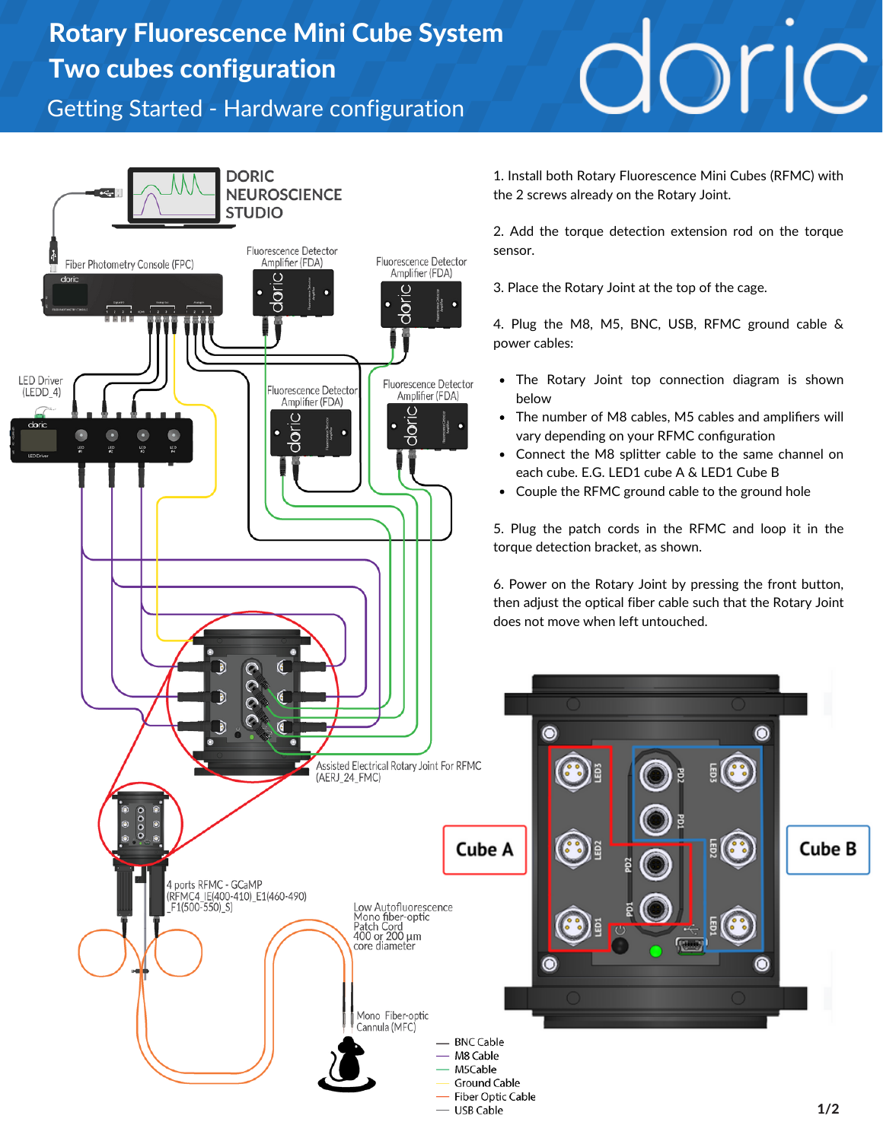## Rotary Fluorescence Mini Cube System Two cubes configuration

Getting Started - Hardware configuration



doric

1. Install both Rotary Fluorescence Mini Cubes (RFMC) with the 2 screws already on the Rotary Joint.

2. Add the torque detection extension rod on the torque

3. Place the Rotary Joint at the top of the cage.

4. Plug the M8, M5, BNC, USB, RFMC ground cable &

- The Rotary Joint top connection diagram is shown
- The number of M8 cables, M5 cables and amplifiers will vary depending on your RFMC configuration
- Connect the M8 splitter cable to the same channel on each cube. E.G. LED1 cube A & LED1 Cube B
- Couple the RFMC ground cable to the ground hole

5. Plug the patch cords in the RFMC and loop it in the torque detection bracket, as shown.

6. Power on the Rotary Joint by pressing the front button, then adjust the optical fiber cable such that the Rotary Joint does not move when left untouched.

 $\circledcirc$ 

**Cube B**